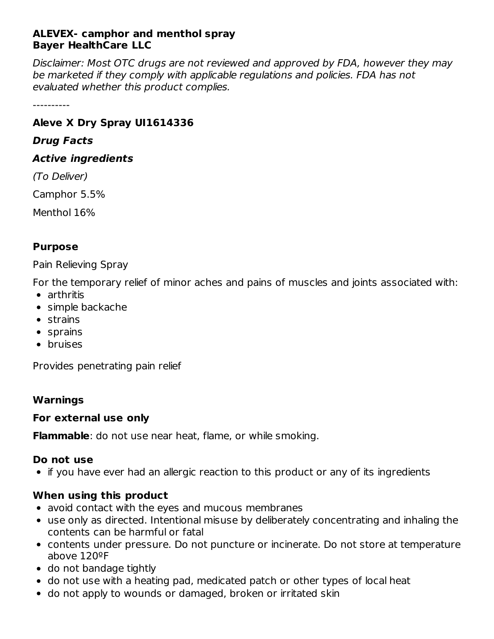#### **ALEVEX- camphor and menthol spray Bayer HealthCare LLC**

Disclaimer: Most OTC drugs are not reviewed and approved by FDA, however they may be marketed if they comply with applicable regulations and policies. FDA has not evaluated whether this product complies.

----------

## **Aleve X Dry Spray UI1614336**

#### **Drug Facts**

#### **Active ingredients**

(To Deliver)

Camphor 5.5%

Menthol 16%

## **Purpose**

Pain Relieving Spray

For the temporary relief of minor aches and pains of muscles and joints associated with:

- arthritis
- simple backache
- strains
- sprains
- bruises

Provides penetrating pain relief

## **Warnings**

## **For external use only**

**Flammable**: do not use near heat, flame, or while smoking.

## **Do not use**

• if you have ever had an allergic reaction to this product or any of its ingredients

# **When using this product**

- avoid contact with the eyes and mucous membranes
- use only as directed. Intentional misuse by deliberately concentrating and inhaling the contents can be harmful or fatal
- contents under pressure. Do not puncture or incinerate. Do not store at temperature above 120ºF
- do not bandage tightly
- do not use with a heating pad, medicated patch or other types of local heat
- do not apply to wounds or damaged, broken or irritated skin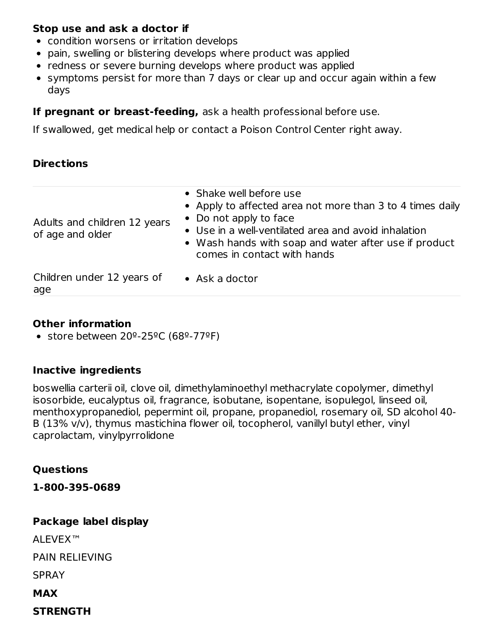#### **Stop use and ask a doctor if**

- condition worsens or irritation develops
- pain, swelling or blistering develops where product was applied
- redness or severe burning develops where product was applied
- symptoms persist for more than 7 days or clear up and occur again within a few days

#### **If pregnant or breast-feeding,** ask a health professional before use.

If swallowed, get medical help or contact a Poison Control Center right away.

#### **Directions**

| Children under 12 years of<br>age                | $\bullet$ Ask a doctor                                                                                                                                                                                                                                         |
|--------------------------------------------------|----------------------------------------------------------------------------------------------------------------------------------------------------------------------------------------------------------------------------------------------------------------|
| Adults and children 12 years<br>of age and older | • Shake well before use<br>• Apply to affected area not more than 3 to 4 times daily<br>• Do not apply to face<br>• Use in a well-ventilated area and avoid inhalation<br>• Wash hands with soap and water after use if product<br>comes in contact with hands |

#### **Other information**

• store between  $20^{\circ}$ -25°C (68°-77°F)

#### **Inactive ingredients**

boswellia carterii oil, clove oil, dimethylaminoethyl methacrylate copolymer, dimethyl isosorbide, eucalyptus oil, fragrance, isobutane, isopentane, isopulegol, linseed oil, menthoxypropanediol, pepermint oil, propane, propanediol, rosemary oil, SD alcohol 40- B (13% v/v), thymus mastichina flower oil, tocopherol, vanillyl butyl ether, vinyl caprolactam, vinylpyrrolidone

**Questions**

**1-800-395-0689**

# **Package label display** AI FVFX™ PAIN RELIEVING SPRAY **MAX**

**STRENGTH**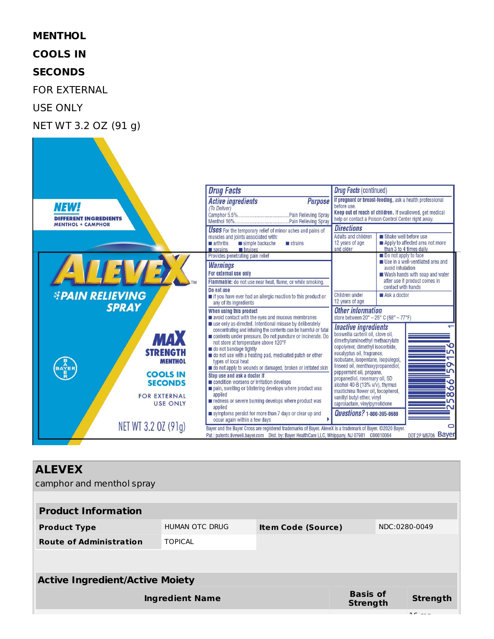#### **MENTHOL**

**COOLS IN**

#### **SECONDS**

FOR EXTERNAL

USE ONLY

#### NET WT 3.2 OZ (91 g)



#### **ALEVEX**

camphor and menthol spray **Product Information Product Type** HUMAN OTC DRUG **Item Code (Source)** NDC:0280-0049 **Route of Administration** TOPICAL **Active Ingredient/Active Moiety Ingredient Name Basis of Strength Strength**  $16 - 16$